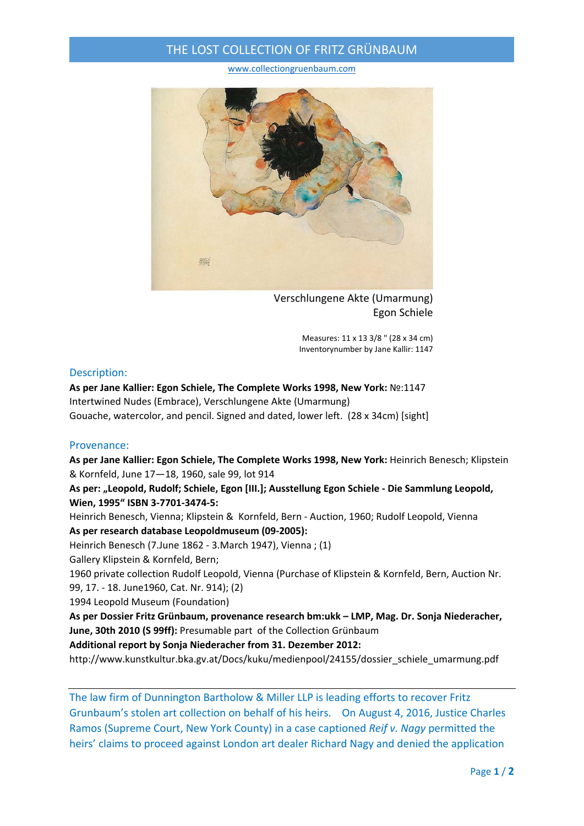## THE LOST COLLECTION OF FRITZ GRÜNBAUM

www.collectiongruenbaum.com



Verschlungene Akte (Umarmung) Egon Schiele

Measures: 11 x 13 3/8 " (28 x 34 cm) Inventorynumber by Jane Kallir: 1147

### Description:

**As per Jane Kallier: Egon Schiele, The Complete Works 1998, New York:** №:1147 Intertwined Nudes (Embrace), Verschlungene Akte (Umarmung) Gouache, watercolor, and pencil. Signed and dated, lower left. (28 x 34cm) [sight]

### Provenance:

**As per Jane Kallier: Egon Schiele, The Complete Works 1998, New York:** Heinrich Benesch; Klipstein & Kornfeld, June 17—18, 1960, sale 99, lot 914

**As per: "Leopold, Rudolf; Schiele, Egon [III.]; Ausstellung Egon Schiele ‐ Die Sammlung Leopold, Wien, 1995" ISBN 3‐7701‐3474‐5:**

Heinrich Benesch, Vienna; Klipstein & Kornfeld, Bern ‐ Auction, 1960; Rudolf Leopold, Vienna **As per research database Leopoldmuseum (09‐2005):**

Heinrich Benesch (7.June 1862 ‐ 3.March 1947), Vienna ; (1)

Gallery Klipstein & Kornfeld, Bern;

1960 private collection Rudolf Leopold, Vienna (Purchase of Klipstein & Kornfeld, Bern, Auction Nr. 99, 17. ‐ 18. June1960, Cat. Nr. 914); (2)

1994 Leopold Museum (Foundation)

**As per Dossier Fritz Grünbaum, provenance research bm:ukk – LMP, Mag. Dr. Sonja Niederacher, June, 30th 2010 (S 99ff):** Presumable part of the Collection Grünbaum

**Additional report by Sonja Niederacher from 31. Dezember 2012:**

http://www.kunstkultur.bka.gv.at/Docs/kuku/medienpool/24155/dossier\_schiele\_umarmung.pdf

The law firm of Dunnington Bartholow & Miller LLP is leading efforts to recover Fritz Grunbaum's stolen art collection on behalf of his heirs. On August 4, 2016, Justice Charles Ramos (Supreme Court, New York County) in a case captioned *Reif v. Nagy* permitted the heirs' claims to proceed against London art dealer Richard Nagy and denied the application